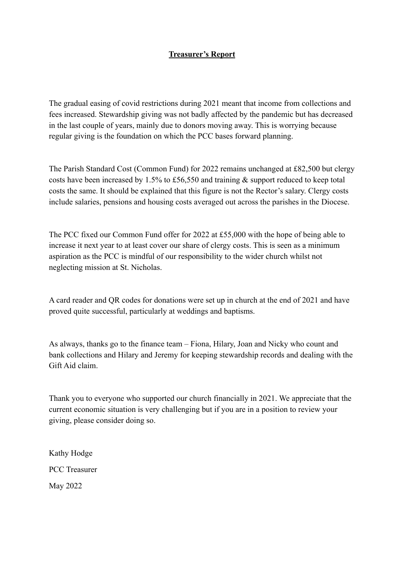## **Treasurer's Report**

The gradual easing of covid restrictions during 2021 meant that income from collections and fees increased. Stewardship giving was not badly affected by the pandemic but has decreased in the last couple of years, mainly due to donors moving away. This is worrying because regular giving is the foundation on which the PCC bases forward planning.

The Parish Standard Cost (Common Fund) for 2022 remains unchanged at £82,500 but clergy costs have been increased by 1.5% to £56,550 and training & support reduced to keep total costs the same. It should be explained that this figure is not the Rector's salary. Clergy costs include salaries, pensions and housing costs averaged out across the parishes in the Diocese.

The PCC fixed our Common Fund offer for 2022 at £55,000 with the hope of being able to increase it next year to at least cover our share of clergy costs. This is seen as a minimum aspiration as the PCC is mindful of our responsibility to the wider church whilst not neglecting mission at St. Nicholas.

A card reader and QR codes for donations were set up in church at the end of 2021 and have proved quite successful, particularly at weddings and baptisms.

As always, thanks go to the finance team – Fiona, Hilary, Joan and Nicky who count and bank collections and Hilary and Jeremy for keeping stewardship records and dealing with the Gift Aid claim.

Thank you to everyone who supported our church financially in 2021. We appreciate that the current economic situation is very challenging but if you are in a position to review your giving, please consider doing so.

Kathy Hodge PCC Treasurer May 2022